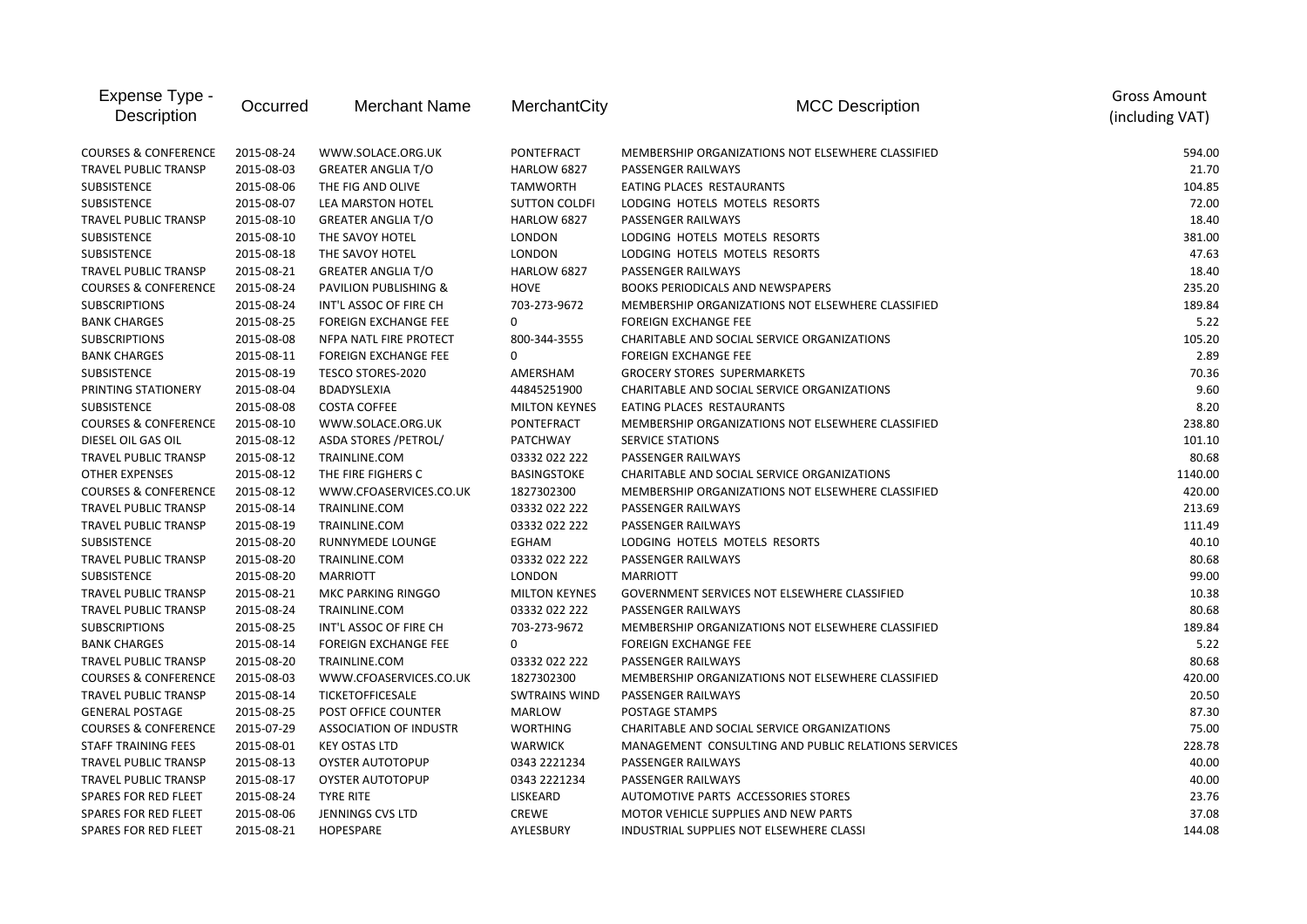| Expense Type -<br>Description   | Occurred   | <b>Merchant Name</b>             | MerchantCity         | <b>MCC Description</b>                              | <b>Gross Amount</b><br>(including VAT) |
|---------------------------------|------------|----------------------------------|----------------------|-----------------------------------------------------|----------------------------------------|
| <b>COURSES &amp; CONFERENCE</b> | 2015-08-24 | WWW.SOLACE.ORG.UK                | PONTEFRACT           | MEMBERSHIP ORGANIZATIONS NOT ELSEWHERE CLASSIFIED   | 594.00                                 |
| <b>TRAVEL PUBLIC TRANSP</b>     | 2015-08-03 | <b>GREATER ANGLIA T/O</b>        | HARLOW 6827          | PASSENGER RAILWAYS                                  | 21.70                                  |
| SUBSISTENCE                     | 2015-08-06 | THE FIG AND OLIVE                | <b>TAMWORTH</b>      | EATING PLACES RESTAURANTS                           | 104.85                                 |
| <b>SUBSISTENCE</b>              | 2015-08-07 | LEA MARSTON HOTEL                | <b>SUTTON COLDFI</b> | LODGING HOTELS MOTELS RESORTS                       | 72.00                                  |
| TRAVEL PUBLIC TRANSP            | 2015-08-10 | <b>GREATER ANGLIA T/O</b>        | HARLOW 6827          | PASSENGER RAILWAYS                                  | 18.40                                  |
| SUBSISTENCE                     | 2015-08-10 | THE SAVOY HOTEL                  | <b>LONDON</b>        | LODGING HOTELS MOTELS RESORTS                       | 381.00                                 |
| <b>SUBSISTENCE</b>              | 2015-08-18 | THE SAVOY HOTEL                  | <b>LONDON</b>        | LODGING HOTELS MOTELS RESORTS                       | 47.63                                  |
| TRAVEL PUBLIC TRANSP            | 2015-08-21 | <b>GREATER ANGLIA T/O</b>        | HARLOW 6827          | PASSENGER RAILWAYS                                  | 18.40                                  |
| <b>COURSES &amp; CONFERENCE</b> | 2015-08-24 | <b>PAVILION PUBLISHING &amp;</b> | <b>HOVE</b>          | BOOKS PERIODICALS AND NEWSPAPERS                    | 235.20                                 |
| <b>SUBSCRIPTIONS</b>            | 2015-08-24 | INT'L ASSOC OF FIRE CH           | 703-273-9672         | MEMBERSHIP ORGANIZATIONS NOT ELSEWHERE CLASSIFIED   | 189.84                                 |
| <b>BANK CHARGES</b>             | 2015-08-25 | <b>FOREIGN EXCHANGE FEE</b>      | 0                    | <b>FOREIGN EXCHANGE FEE</b>                         | 5.22                                   |
| <b>SUBSCRIPTIONS</b>            | 2015-08-08 | NFPA NATL FIRE PROTECT           | 800-344-3555         | CHARITABLE AND SOCIAL SERVICE ORGANIZATIONS         | 105.20                                 |
| <b>BANK CHARGES</b>             | 2015-08-11 | <b>FOREIGN EXCHANGE FEE</b>      | 0                    | <b>FOREIGN EXCHANGE FEE</b>                         | 2.89                                   |
| <b>SUBSISTENCE</b>              | 2015-08-19 | TESCO STORES-2020                | AMERSHAM             | <b>GROCERY STORES SUPERMARKETS</b>                  | 70.36                                  |
| PRINTING STATIONERY             | 2015-08-04 | BDADYSLEXIA                      | 44845251900          | CHARITABLE AND SOCIAL SERVICE ORGANIZATIONS         | 9.60                                   |
| SUBSISTENCE                     | 2015-08-08 | <b>COSTA COFFEE</b>              | <b>MILTON KEYNES</b> | EATING PLACES RESTAURANTS                           | 8.20                                   |
| <b>COURSES &amp; CONFERENCE</b> | 2015-08-10 | WWW.SOLACE.ORG.UK                | <b>PONTEFRACT</b>    | MEMBERSHIP ORGANIZATIONS NOT ELSEWHERE CLASSIFIED   | 238.80                                 |
| DIESEL OIL GAS OIL              | 2015-08-12 | ASDA STORES / PETROL/            | <b>PATCHWAY</b>      | <b>SERVICE STATIONS</b>                             | 101.10                                 |
| TRAVEL PUBLIC TRANSP            | 2015-08-12 | TRAINLINE.COM                    | 03332 022 222        | PASSENGER RAILWAYS                                  | 80.68                                  |
| <b>OTHER EXPENSES</b>           | 2015-08-12 | THE FIRE FIGHERS C               | <b>BASINGSTOKE</b>   | CHARITABLE AND SOCIAL SERVICE ORGANIZATIONS         | 1140.00                                |
| <b>COURSES &amp; CONFERENCE</b> | 2015-08-12 | WWW.CFOASERVICES.CO.UK           | 1827302300           | MEMBERSHIP ORGANIZATIONS NOT ELSEWHERE CLASSIFIED   | 420.00                                 |
| <b>TRAVEL PUBLIC TRANSP</b>     | 2015-08-14 | TRAINLINE.COM                    | 03332 022 222        | PASSENGER RAILWAYS                                  | 213.69                                 |
| TRAVEL PUBLIC TRANSP            | 2015-08-19 | TRAINLINE.COM                    | 03332 022 222        | PASSENGER RAILWAYS                                  | 111.49                                 |
| <b>SUBSISTENCE</b>              | 2015-08-20 | RUNNYMEDE LOUNGE                 | EGHAM                | LODGING HOTELS MOTELS RESORTS                       | 40.10                                  |
| <b>TRAVEL PUBLIC TRANSP</b>     | 2015-08-20 | TRAINLINE.COM                    | 03332 022 222        | PASSENGER RAILWAYS                                  | 80.68                                  |
| SUBSISTENCE                     | 2015-08-20 | <b>MARRIOTT</b>                  | <b>LONDON</b>        | <b>MARRIOTT</b>                                     | 99.00                                  |
| TRAVEL PUBLIC TRANSP            | 2015-08-21 | <b>MKC PARKING RINGGO</b>        | <b>MILTON KEYNES</b> | GOVERNMENT SERVICES NOT ELSEWHERE CLASSIFIED        | 10.38                                  |
| TRAVEL PUBLIC TRANSP            | 2015-08-24 | TRAINLINE.COM                    | 03332 022 222        | PASSENGER RAILWAYS                                  | 80.68                                  |
| <b>SUBSCRIPTIONS</b>            | 2015-08-25 | INT'L ASSOC OF FIRE CH           | 703-273-9672         | MEMBERSHIP ORGANIZATIONS NOT ELSEWHERE CLASSIFIED   | 189.84                                 |
| <b>BANK CHARGES</b>             | 2015-08-14 | <b>FOREIGN EXCHANGE FEE</b>      | 0                    | <b>FOREIGN EXCHANGE FEE</b>                         | 5.22                                   |
| TRAVEL PUBLIC TRANSP            | 2015-08-20 | TRAINLINE.COM                    | 03332 022 222        | PASSENGER RAILWAYS                                  | 80.68                                  |
| <b>COURSES &amp; CONFERENCE</b> | 2015-08-03 | WWW.CFOASERVICES.CO.UK           | 1827302300           | MEMBERSHIP ORGANIZATIONS NOT ELSEWHERE CLASSIFIED   | 420.00                                 |
| TRAVEL PUBLIC TRANSP            | 2015-08-14 | <b>TICKETOFFICESALE</b>          | <b>SWTRAINS WIND</b> | <b>PASSENGER RAILWAYS</b>                           | 20.50                                  |
| <b>GENERAL POSTAGE</b>          | 2015-08-25 | POST OFFICE COUNTER              | <b>MARLOW</b>        | POSTAGE STAMPS                                      | 87.30                                  |
| <b>COURSES &amp; CONFERENCE</b> | 2015-07-29 | <b>ASSOCIATION OF INDUSTR</b>    | <b>WORTHING</b>      | CHARITABLE AND SOCIAL SERVICE ORGANIZATIONS         | 75.00                                  |
| <b>STAFF TRAINING FEES</b>      | 2015-08-01 | <b>KEY OSTAS LTD</b>             | <b>WARWICK</b>       | MANAGEMENT CONSULTING AND PUBLIC RELATIONS SERVICES | 228.78                                 |
| TRAVEL PUBLIC TRANSP            | 2015-08-13 | <b>OYSTER AUTOTOPUP</b>          | 0343 2221234         | PASSENGER RAILWAYS                                  | 40.00                                  |
| TRAVEL PUBLIC TRANSP            | 2015-08-17 | <b>OYSTER AUTOTOPUP</b>          | 0343 2221234         | PASSENGER RAILWAYS                                  | 40.00                                  |
| SPARES FOR RED FLEET            | 2015-08-24 | <b>TYRE RITE</b>                 | LISKEARD             | AUTOMOTIVE PARTS ACCESSORIES STORES                 | 23.76                                  |
| <b>SPARES FOR RED FLEET</b>     | 2015-08-06 | JENNINGS CVS LTD                 | <b>CREWE</b>         | MOTOR VEHICLE SUPPLIES AND NEW PARTS                | 37.08                                  |
| <b>SPARES FOR RED FLEET</b>     | 2015-08-21 | HOPESPARE                        | AYLESBURY            | INDUSTRIAL SUPPLIES NOT ELSEWHERE CLASSI            | 144.08                                 |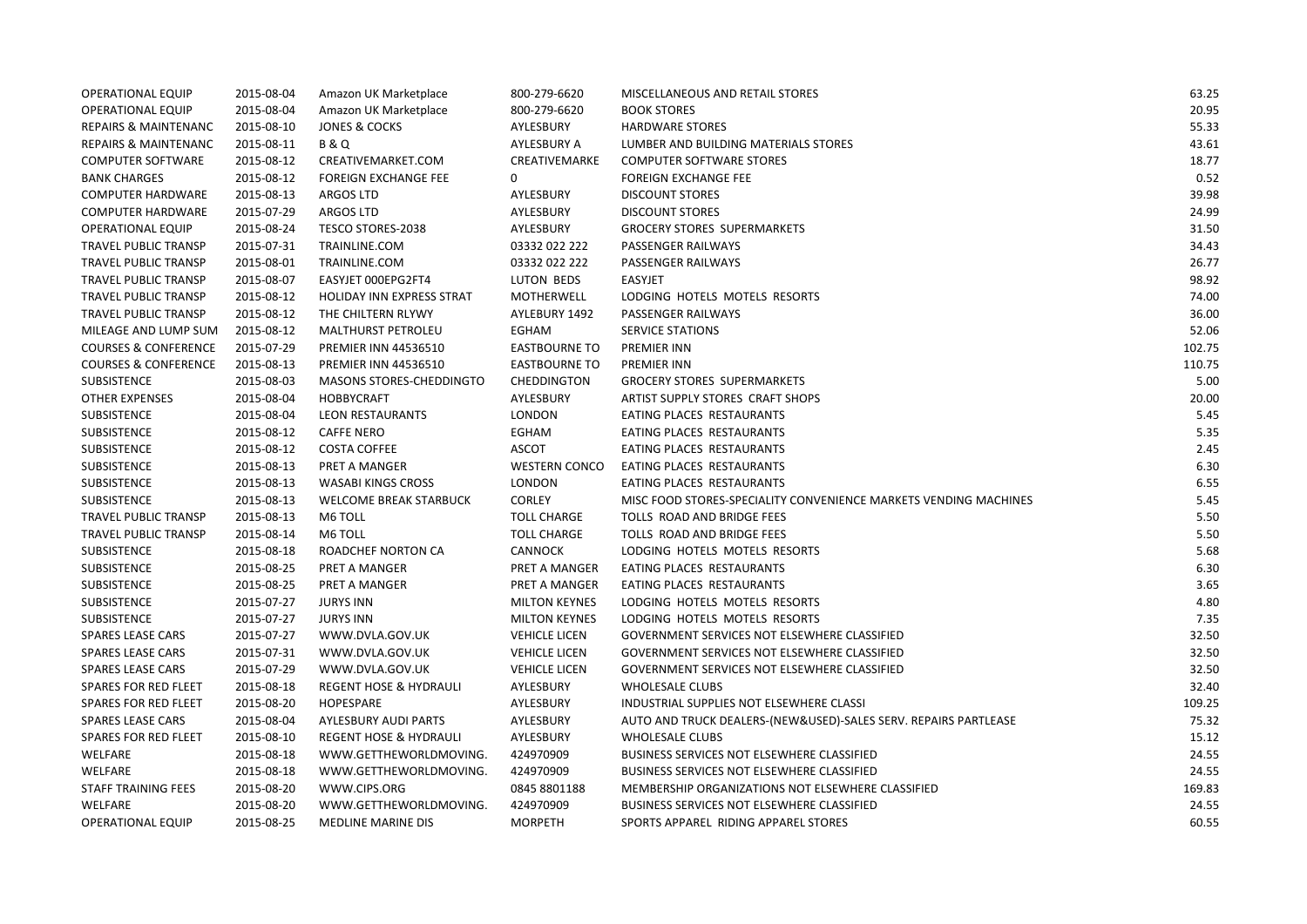| <b>OPERATIONAL EQUIP</b>        | 2015-08-04 | Amazon UK Marketplace             | 800-279-6620         | MISCELLANEOUS AND RETAIL STORES                                  | 63.25  |
|---------------------------------|------------|-----------------------------------|----------------------|------------------------------------------------------------------|--------|
| <b>OPERATIONAL EQUIP</b>        | 2015-08-04 | Amazon UK Marketplace             | 800-279-6620         | <b>BOOK STORES</b>                                               | 20.95  |
| REPAIRS & MAINTENANC            | 2015-08-10 | JONES & COCKS                     | AYLESBURY            | <b>HARDWARE STORES</b>                                           | 55.33  |
| <b>REPAIRS &amp; MAINTENANC</b> | 2015-08-11 | <b>B&amp;Q</b>                    | AYLESBURY A          | LUMBER AND BUILDING MATERIALS STORES                             | 43.61  |
| <b>COMPUTER SOFTWARE</b>        | 2015-08-12 | CREATIVEMARKET.COM                | CREATIVEMARKE        | <b>COMPUTER SOFTWARE STORES</b>                                  | 18.77  |
| <b>BANK CHARGES</b>             | 2015-08-12 | <b>FOREIGN EXCHANGE FEE</b>       | 0                    | <b>FOREIGN EXCHANGE FEE</b>                                      | 0.52   |
| <b>COMPUTER HARDWARE</b>        | 2015-08-13 | <b>ARGOS LTD</b>                  | AYLESBURY            | <b>DISCOUNT STORES</b>                                           | 39.98  |
| <b>COMPUTER HARDWARE</b>        | 2015-07-29 | <b>ARGOS LTD</b>                  | AYLESBURY            | <b>DISCOUNT STORES</b>                                           | 24.99  |
| <b>OPERATIONAL EQUIP</b>        | 2015-08-24 | TESCO STORES-2038                 | AYLESBURY            | <b>GROCERY STORES SUPERMARKETS</b>                               | 31.50  |
| <b>TRAVEL PUBLIC TRANSP</b>     | 2015-07-31 | TRAINLINE.COM                     | 03332 022 222        | PASSENGER RAILWAYS                                               | 34.43  |
| <b>TRAVEL PUBLIC TRANSP</b>     | 2015-08-01 | TRAINLINE.COM                     | 03332 022 222        | PASSENGER RAILWAYS                                               | 26.77  |
| TRAVEL PUBLIC TRANSP            | 2015-08-07 | EASYJET 000EPG2FT4                | LUTON BEDS           | <b>EASYJET</b>                                                   | 98.92  |
| <b>TRAVEL PUBLIC TRANSP</b>     | 2015-08-12 | HOLIDAY INN EXPRESS STRAT         | MOTHERWELL           | LODGING HOTELS MOTELS RESORTS                                    | 74.00  |
| TRAVEL PUBLIC TRANSP            | 2015-08-12 | THE CHILTERN RLYWY                | AYLEBURY 1492        | PASSENGER RAILWAYS                                               | 36.00  |
| MILEAGE AND LUMP SUM            | 2015-08-12 | <b>MALTHURST PETROLEU</b>         | EGHAM                | <b>SERVICE STATIONS</b>                                          | 52.06  |
| <b>COURSES &amp; CONFERENCE</b> | 2015-07-29 | <b>PREMIER INN 44536510</b>       | <b>EASTBOURNE TO</b> | <b>PREMIER INN</b>                                               | 102.75 |
| <b>COURSES &amp; CONFERENCE</b> | 2015-08-13 | <b>PREMIER INN 44536510</b>       | <b>EASTBOURNE TO</b> | <b>PREMIER INN</b>                                               | 110.75 |
| SUBSISTENCE                     | 2015-08-03 | MASONS STORES-CHEDDINGTO          | CHEDDINGTON          | <b>GROCERY STORES SUPERMARKETS</b>                               | 5.00   |
| <b>OTHER EXPENSES</b>           | 2015-08-04 | <b>HOBBYCRAFT</b>                 | AYLESBURY            | ARTIST SUPPLY STORES CRAFT SHOPS                                 | 20.00  |
| SUBSISTENCE                     | 2015-08-04 | <b>LEON RESTAURANTS</b>           | <b>LONDON</b>        | EATING PLACES RESTAURANTS                                        | 5.45   |
| SUBSISTENCE                     | 2015-08-12 | <b>CAFFE NERO</b>                 | EGHAM                | EATING PLACES RESTAURANTS                                        | 5.35   |
| SUBSISTENCE                     | 2015-08-12 | <b>COSTA COFFEE</b>               | ASCOT                | EATING PLACES RESTAURANTS                                        | 2.45   |
| SUBSISTENCE                     | 2015-08-13 | PRET A MANGER                     | <b>WESTERN CONCO</b> | EATING PLACES RESTAURANTS                                        | 6.30   |
| SUBSISTENCE                     | 2015-08-13 | <b>WASABI KINGS CROSS</b>         | <b>LONDON</b>        | EATING PLACES RESTAURANTS                                        | 6.55   |
| SUBSISTENCE                     | 2015-08-13 | <b>WELCOME BREAK STARBUCK</b>     | CORLEY               | MISC FOOD STORES-SPECIALITY CONVENIENCE MARKETS VENDING MACHINES | 5.45   |
| <b>TRAVEL PUBLIC TRANSP</b>     | 2015-08-13 | M6 TOLL                           | <b>TOLL CHARGE</b>   | TOLLS ROAD AND BRIDGE FEES                                       | 5.50   |
| <b>TRAVEL PUBLIC TRANSP</b>     | 2015-08-14 | M6 TOLL                           | <b>TOLL CHARGE</b>   | TOLLS ROAD AND BRIDGE FEES                                       | 5.50   |
| SUBSISTENCE                     | 2015-08-18 | ROADCHEF NORTON CA                | <b>CANNOCK</b>       | LODGING HOTELS MOTELS RESORTS                                    | 5.68   |
| SUBSISTENCE                     | 2015-08-25 | PRET A MANGER                     | PRET A MANGER        | EATING PLACES RESTAURANTS                                        | 6.30   |
| SUBSISTENCE                     | 2015-08-25 | PRET A MANGER                     | PRET A MANGER        | EATING PLACES RESTAURANTS                                        | 3.65   |
| SUBSISTENCE                     | 2015-07-27 | <b>JURYS INN</b>                  | <b>MILTON KEYNES</b> | LODGING HOTELS MOTELS RESORTS                                    | 4.80   |
| SUBSISTENCE                     | 2015-07-27 | <b>JURYS INN</b>                  | <b>MILTON KEYNES</b> | LODGING HOTELS MOTELS RESORTS                                    | 7.35   |
| <b>SPARES LEASE CARS</b>        | 2015-07-27 | WWW.DVLA.GOV.UK                   | <b>VEHICLE LICEN</b> | GOVERNMENT SERVICES NOT ELSEWHERE CLASSIFIED                     | 32.50  |
| <b>SPARES LEASE CARS</b>        | 2015-07-31 | WWW.DVLA.GOV.UK                   | <b>VEHICLE LICEN</b> | GOVERNMENT SERVICES NOT ELSEWHERE CLASSIFIED                     | 32.50  |
| <b>SPARES LEASE CARS</b>        | 2015-07-29 | WWW.DVLA.GOV.UK                   | <b>VEHICLE LICEN</b> | GOVERNMENT SERVICES NOT ELSEWHERE CLASSIFIED                     | 32.50  |
| <b>SPARES FOR RED FLEET</b>     | 2015-08-18 | <b>REGENT HOSE &amp; HYDRAULI</b> | AYLESBURY            | <b>WHOLESALE CLUBS</b>                                           | 32.40  |
| <b>SPARES FOR RED FLEET</b>     | 2015-08-20 | <b>HOPESPARE</b>                  | AYLESBURY            | INDUSTRIAL SUPPLIES NOT ELSEWHERE CLASSI                         | 109.25 |
| <b>SPARES LEASE CARS</b>        | 2015-08-04 | AYLESBURY AUDI PARTS              | AYLESBURY            | AUTO AND TRUCK DEALERS-(NEW&USED)-SALES SERV. REPAIRS PARTLEASE  | 75.32  |
| SPARES FOR RED FLEET            | 2015-08-10 | <b>REGENT HOSE &amp; HYDRAULI</b> | AYLESBURY            | <b>WHOLESALE CLUBS</b>                                           | 15.12  |
| WELFARE                         | 2015-08-18 | WWW.GETTHEWORLDMOVING.            | 424970909            | <b>BUSINESS SERVICES NOT ELSEWHERE CLASSIFIED</b>                | 24.55  |
| <b>WELFARE</b>                  | 2015-08-18 | WWW.GETTHEWORLDMOVING.            | 424970909            | BUSINESS SERVICES NOT ELSEWHERE CLASSIFIED                       | 24.55  |
| <b>STAFF TRAINING FEES</b>      | 2015-08-20 | WWW.CIPS.ORG                      | 0845 8801188         | MEMBERSHIP ORGANIZATIONS NOT ELSEWHERE CLASSIFIED                | 169.83 |
| WELFARE                         | 2015-08-20 | WWW.GETTHEWORLDMOVING.            | 424970909            | BUSINESS SERVICES NOT ELSEWHERE CLASSIFIED                       | 24.55  |
| <b>OPERATIONAL EQUIP</b>        | 2015-08-25 | <b>MEDLINE MARINE DIS</b>         | <b>MORPETH</b>       | SPORTS APPAREL RIDING APPAREL STORES                             | 60.55  |